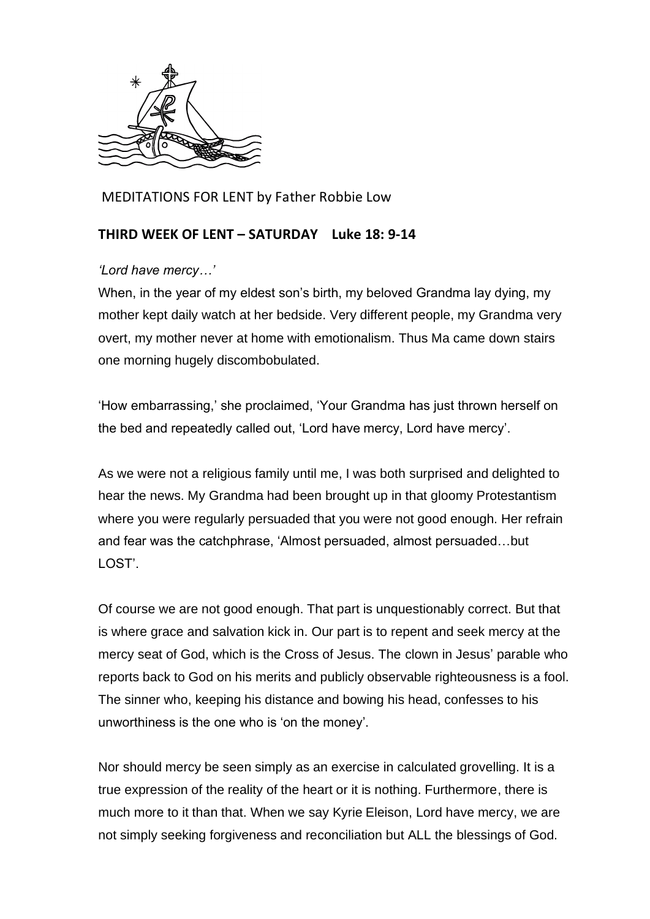

MEDITATIONS FOR LENT by Father Robbie Low

## **THIRD WEEK OF LENT – SATURDAY Luke 18: 9-14**

## *'Lord have mercy…'*

When, in the year of my eldest son's birth, my beloved Grandma lay dying, my mother kept daily watch at her bedside. Very different people, my Grandma very overt, my mother never at home with emotionalism. Thus Ma came down stairs one morning hugely discombobulated.

'How embarrassing,' she proclaimed, 'Your Grandma has just thrown herself on the bed and repeatedly called out, 'Lord have mercy, Lord have mercy'.

As we were not a religious family until me, I was both surprised and delighted to hear the news. My Grandma had been brought up in that gloomy Protestantism where you were regularly persuaded that you were not good enough. Her refrain and fear was the catchphrase, 'Almost persuaded, almost persuaded…but LOST'.

Of course we are not good enough. That part is unquestionably correct. But that is where grace and salvation kick in. Our part is to repent and seek mercy at the mercy seat of God, which is the Cross of Jesus. The clown in Jesus' parable who reports back to God on his merits and publicly observable righteousness is a fool. The sinner who, keeping his distance and bowing his head, confesses to his unworthiness is the one who is 'on the money'.

Nor should mercy be seen simply as an exercise in calculated grovelling. It is a true expression of the reality of the heart or it is nothing. Furthermore, there is much more to it than that. When we say Kyrie Eleison, Lord have mercy, we are not simply seeking forgiveness and reconciliation but ALL the blessings of God.